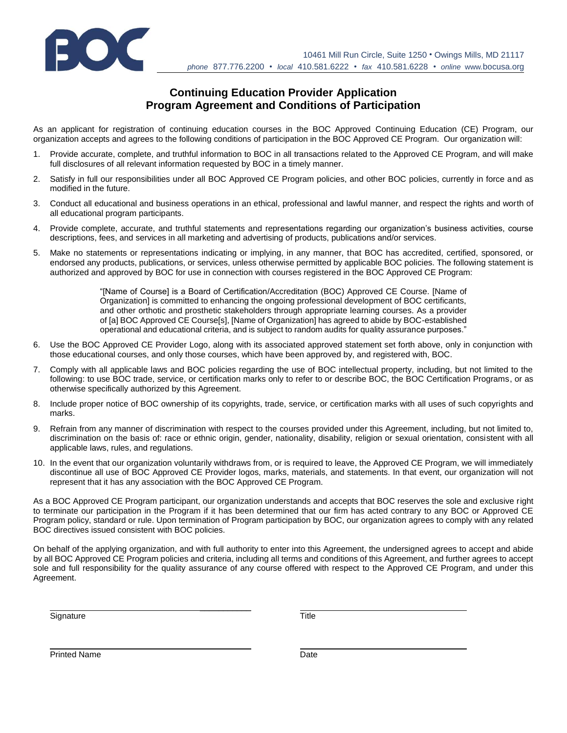

## **Continuing Education Provider Application Program Agreement and Conditions of Participation**

As an applicant for registration of continuing education courses in the BOC Approved Continuing Education (CE) Program, our organization accepts and agrees to the following conditions of participation in the BOC Approved CE Program. Our organization will:

- 1. Provide accurate, complete, and truthful information to BOC in all transactions related to the Approved CE Program, and will make full disclosures of all relevant information requested by BOC in a timely manner.
- 2. Satisfy in full our responsibilities under all BOC Approved CE Program policies, and other BOC policies, currently in force and as modified in the future.
- 3. Conduct all educational and business operations in an ethical, professional and lawful manner, and respect the rights and worth of all educational program participants.
- 4. Provide complete, accurate, and truthful statements and representations regarding our organization's business activities, course descriptions, fees, and services in all marketing and advertising of products, publications and/or services.
- 5. Make no statements or representations indicating or implying, in any manner, that BOC has accredited, certified, sponsored, or endorsed any products, publications, or services, unless otherwise permitted by applicable BOC policies. The following statement is authorized and approved by BOC for use in connection with courses registered in the BOC Approved CE Program:

"[Name of Course] is a Board of Certification/Accreditation (BOC) Approved CE Course. [Name of Organization] is committed to enhancing the ongoing professional development of BOC certificants, and other orthotic and prosthetic stakeholders through appropriate learning courses. As a provider of [a] BOC Approved CE Course[s], [Name of Organization] has agreed to abide by BOC-established operational and educational criteria, and is subject to random audits for quality assurance purposes."

- 6. Use the BOC Approved CE Provider Logo, along with its associated approved statement set forth above, only in conjunction with those educational courses, and only those courses, which have been approved by, and registered with, BOC.
- 7. Comply with all applicable laws and BOC policies regarding the use of BOC intellectual property, including, but not limited to the following: to use BOC trade, service, or certification marks only to refer to or describe BOC, the BOC Certification Programs, or as otherwise specifically authorized by this Agreement.
- 8. Include proper notice of BOC ownership of its copyrights, trade, service, or certification marks with all uses of such copyrights and marks.
- 9. Refrain from any manner of discrimination with respect to the courses provided under this Agreement, including, but not limited to, discrimination on the basis of: race or ethnic origin, gender, nationality, disability, religion or sexual orientation, consistent with all applicable laws, rules, and regulations.
- 10. In the event that our organization voluntarily withdraws from, or is required to leave, the Approved CE Program, we will immediately discontinue all use of BOC Approved CE Provider logos, marks, materials, and statements. In that event, our organization will not represent that it has any association with the BOC Approved CE Program.

As a BOC Approved CE Program participant, our organization understands and accepts that BOC reserves the sole and exclusive right to terminate our participation in the Program if it has been determined that our firm has acted contrary to any BOC or Approved CE Program policy, standard or rule. Upon termination of Program participation by BOC, our organization agrees to comply with any related BOC directives issued consistent with BOC policies.

On behalf of the applying organization, and with full authority to enter into this Agreement, the undersigned agrees to accept and abide by all BOC Approved CE Program policies and criteria, including all terms and conditions of this Agreement, and further agrees to accept sole and full responsibility for the quality assurance of any course offered with respect to the Approved CE Program, and under this Agreement.

 $\frac{1}{2}$  ,  $\frac{1}{2}$  ,  $\frac{1}{2}$  ,  $\frac{1}{2}$  ,  $\frac{1}{2}$  ,  $\frac{1}{2}$ 

\_\_\_\_\_\_\_\_\_\_\_

Signature Title

Printed Name **Date**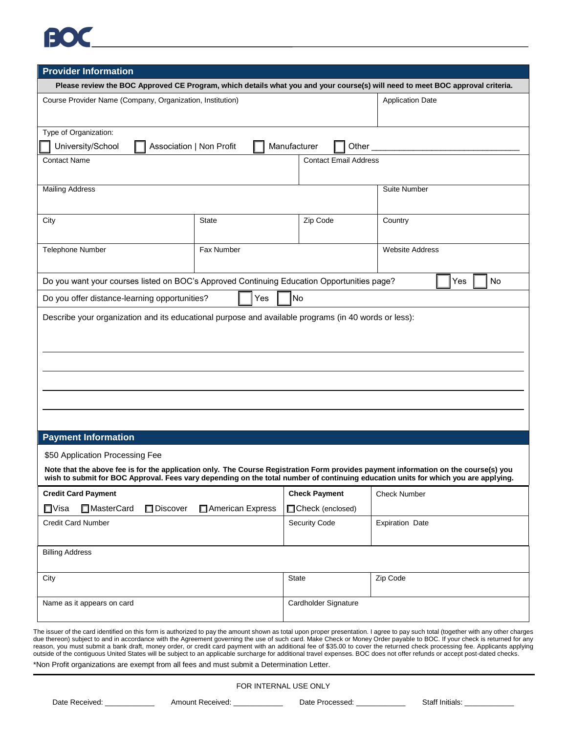## EOK

| <b>Provider Information</b>                                                                                                                                                                                                                                               |                  |                              |                         |
|---------------------------------------------------------------------------------------------------------------------------------------------------------------------------------------------------------------------------------------------------------------------------|------------------|------------------------------|-------------------------|
| Please review the BOC Approved CE Program, which details what you and your course(s) will need to meet BOC approval criteria.                                                                                                                                             |                  |                              |                         |
| Course Provider Name (Company, Organization, Institution)                                                                                                                                                                                                                 |                  |                              | <b>Application Date</b> |
|                                                                                                                                                                                                                                                                           |                  |                              |                         |
| Type of Organization:                                                                                                                                                                                                                                                     |                  |                              |                         |
| University/School<br>Association   Non Profit<br>Manufacturer<br>Other                                                                                                                                                                                                    |                  |                              |                         |
| <b>Contact Name</b>                                                                                                                                                                                                                                                       |                  | <b>Contact Email Address</b> |                         |
|                                                                                                                                                                                                                                                                           |                  |                              |                         |
| <b>Mailing Address</b>                                                                                                                                                                                                                                                    |                  |                              | <b>Suite Number</b>     |
|                                                                                                                                                                                                                                                                           |                  |                              |                         |
| City                                                                                                                                                                                                                                                                      | <b>State</b>     | Zip Code                     | Country                 |
|                                                                                                                                                                                                                                                                           |                  |                              |                         |
| Telephone Number                                                                                                                                                                                                                                                          | Fax Number       |                              | <b>Website Address</b>  |
|                                                                                                                                                                                                                                                                           |                  |                              |                         |
| Do you want your courses listed on BOC's Approved Continuing Education Opportunities page?<br>No<br>Yes                                                                                                                                                                   |                  |                              |                         |
| No<br>Do you offer distance-learning opportunities?<br>Yes                                                                                                                                                                                                                |                  |                              |                         |
| Describe your organization and its educational purpose and available programs (in 40 words or less):                                                                                                                                                                      |                  |                              |                         |
|                                                                                                                                                                                                                                                                           |                  |                              |                         |
|                                                                                                                                                                                                                                                                           |                  |                              |                         |
|                                                                                                                                                                                                                                                                           |                  |                              |                         |
|                                                                                                                                                                                                                                                                           |                  |                              |                         |
|                                                                                                                                                                                                                                                                           |                  |                              |                         |
|                                                                                                                                                                                                                                                                           |                  |                              |                         |
|                                                                                                                                                                                                                                                                           |                  |                              |                         |
|                                                                                                                                                                                                                                                                           |                  |                              |                         |
| <b>Payment Information</b>                                                                                                                                                                                                                                                |                  |                              |                         |
| \$50 Application Processing Fee                                                                                                                                                                                                                                           |                  |                              |                         |
| Note that the above fee is for the application only. The Course Registration Form provides payment information on the course(s) you<br>wish to submit for BOC Approval. Fees vary depending on the total number of continuing education units for which you are applying. |                  |                              |                         |
| <b>Credit Card Payment</b>                                                                                                                                                                                                                                                |                  | <b>Check Payment</b>         | <b>Check Number</b>     |
| $\square$ Visa<br>MasterCard<br>Discover                                                                                                                                                                                                                                  | American Express | □Check (enclosed)            |                         |
| Credit Card Number                                                                                                                                                                                                                                                        |                  | <b>Security Code</b>         | <b>Expiration Date</b>  |
|                                                                                                                                                                                                                                                                           |                  |                              |                         |
| <b>Billing Address</b>                                                                                                                                                                                                                                                    |                  |                              |                         |
|                                                                                                                                                                                                                                                                           |                  |                              |                         |
| City                                                                                                                                                                                                                                                                      |                  | <b>State</b>                 | Zip Code                |
|                                                                                                                                                                                                                                                                           |                  |                              |                         |
| Name as it appears on card                                                                                                                                                                                                                                                |                  | Cardholder Signature         |                         |
|                                                                                                                                                                                                                                                                           |                  |                              |                         |

The issuer of the card identified on this form is authorized to pay the amount shown as total upon proper presentation. I agree to pay such total (together with any other charges due thereon) subject to and in accordance with the Agreement governing the use of such card. Make Check or Money Order payable to BOC. If your check is returned for any reason, you must submit a bank draft, money order, or credit card payment with an additional fee of \$35.00 to cover the returned check processing fee. Applicants applying outside of the contiguous United States will be subject to an applicable surcharge for additional travel expenses. BOC does not offer refunds or accept post-dated checks.

\*Non Profit organizations are exempt from all fees and must submit a Determination Letter.

FOR INTERNAL USE ONLY